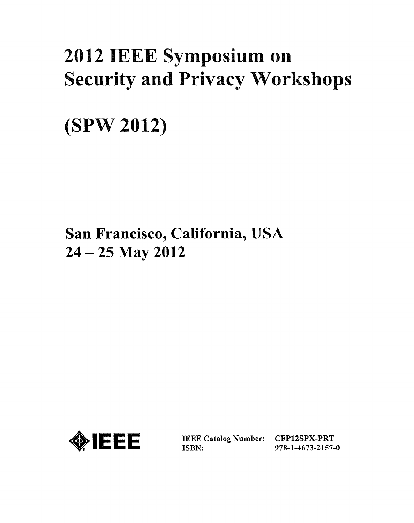# 2012 IEEE Symposium on Security and Privacy Workshops

(SPW 2012)

## San Francisco, California, USA 24 - 25 May 2012



IEEE Catalog Number: CFP12SPX-PRT ISBN: 978-1-4673-2157-0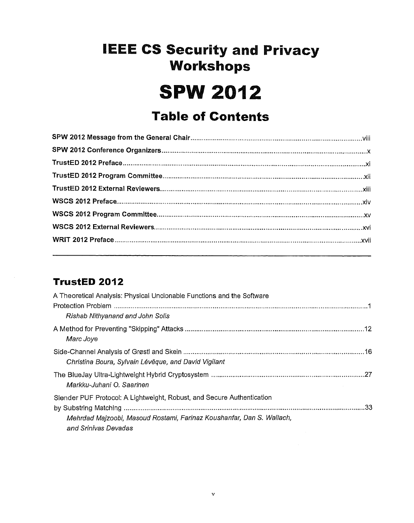### IEEE CS Security and Privacy Workshops

## SPW 2012

### Table of Contents

#### TrustED 2012

| A Theoretical Analysis: Physical Unclonable Functions and the Software                                                                                                  |  |
|-------------------------------------------------------------------------------------------------------------------------------------------------------------------------|--|
| Rishab Nithyanand and John Solis                                                                                                                                        |  |
| Marc Joye                                                                                                                                                               |  |
| Christina Boura, Sylvain Lévêque, and David Vigilant                                                                                                                    |  |
| Markku-Juhani O. Saarinen                                                                                                                                               |  |
| Slender PUF Protocol: A Lightweight, Robust, and Secure Authentication<br>Mehrdad Majzoobi, Masoud Rostami, Farinaz Koushanfar, Dan S. Wallach,<br>and Srinivas Devadas |  |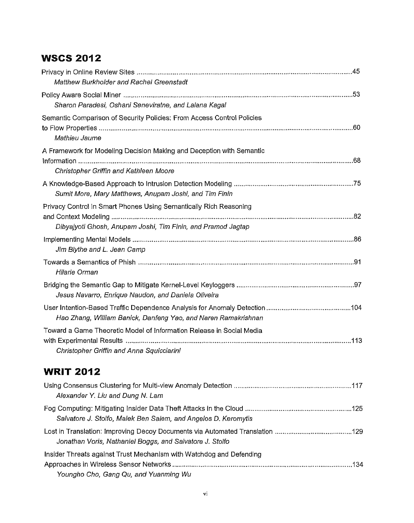#### WSCS 2012

| Matthew Burkholder and Rachel Greenstadt                                                                                          |  |
|-----------------------------------------------------------------------------------------------------------------------------------|--|
| Sharon Paradesi, Oshani Seneviratne, and Lalana Kagal                                                                             |  |
| Semantic Comparison of Security Policies: From Access Control Policies<br>Mathieu Jaume                                           |  |
| A Framework for Modeling Decision Making and Deception with Semantic<br>Christopher Griffin and Kathleen Moore                    |  |
| Sumit More, Mary Matthews, Anupam Joshi, and Tim Finin                                                                            |  |
| Privacy Control in Smart Phones Using Semantically Rich Reasoning<br>Dibyajyoti Ghosh, Anupam Joshi, Tim Finin, and Pramod Jagtap |  |
| Jim Blythe and L. Jean Camp                                                                                                       |  |
| Hilarie Orman                                                                                                                     |  |
| Jesus Navarro, Enrique Naudon, and Daniela Oliveira                                                                               |  |
| Hao Zhang, William Banick, Danfeng Yao, and Naren Ramakrishnan                                                                    |  |
| Toward a Game Theoretic Model of Information Release in Social Media<br>Christopher Griffin and Anna Squicciarini                 |  |
| <b>WRIT 2012</b>                                                                                                                  |  |
| Alexander Y. Liu and Dung N. Lam                                                                                                  |  |
| Salvatore J. Stolfo, Malek Ben Salem, and Angelos D. Keromytis                                                                    |  |
| Jonathan Voris, Nathaniel Boggs, and Salvatore J. Stolfo                                                                          |  |
| Insider Threats against Trust Mechanism with Watchdog and Defending                                                               |  |

Youngho Cho, Gang Qu, and Yuanming Wu